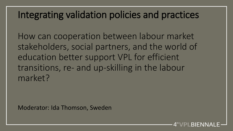### Integrating validation policies and practices

How can cooperation between labour market stakeholders, social partners, and the world of education better support VPL for efficient transitions, re- and up-skilling in the labour market?

Moderator: Ida Thomson, Sweden

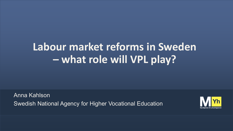## **Labour market reforms in Sweden – what role will VPL play?**

Anna Kahlson Swedish National Agency for Higher Vocational Education

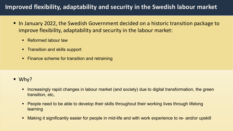#### **Improved flexibility, adaptability and security in the Swedish labour market**

- In January 2022, the Swedish Government decided on a historic transition package to improve flexibility, adaptability and security in the labour market:
	- **Reformed labour law**
	- **Transition and skills support**
	- Finance scheme for transition and retraining

- $\blacksquare$  Why?
	- **Increasingly rapid changes in labour market (and society) due to digital transformation, the green** transition, etc,
	- **People need to be able to develop their skills throughout their working lives through lifelong learning**
	- Making it significantly easier for people in mid-life and with work experience to re- and/or upskill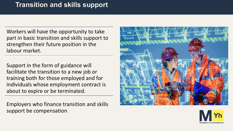Workers will have the opportunity to take part in basic transition and skills support to strengthen their future position in the labour market.

Support in the form of guidance will facilitate the transition to a new job or training both for those employed and for individuals whose employment contract is about to expire or be terminated.

Employers who finance transition and skills support be compensation



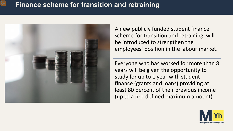#### **Finance scheme for transition and retraining**



A new publicly funded student finance scheme for transition and retraining will be introduced to strengthen the employees' position in the labour market.

Everyone who has worked for more than 8 years will be given the opportunity to study for up to 1 year with student finance (grants and loans) providing at least 80 percent of their previous income (up to a pre-defined maximum amount)

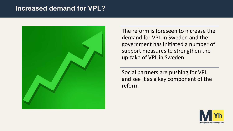#### **Increased demand for VPL?**



The reform is foreseen to increase the demand for VPL in Sweden and the government has initiated a number of support measures to strengthen the up-take of VPL in Sweden

Social partners are pushing for VPL and see it as a key component of the reform

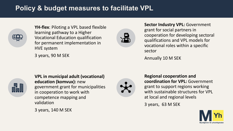#### **Policy & budget measures to facilitate VPL**



**YH-flex**: Piloting a VPL based flexible learning pathway to a Higher Vocational Education qualification for permanent implementation in HVE system

3 years, 90 M SEK



**Sector Industry VPL:** Government grant for social partners in cooperation for developing sectoral qualifications and VPL models for vocational roles within a specific sector

Annually 10 M SEK



**VPL in municipal adult (vocational) education (komvux):** new government grant for municipalities in cooperation to work with competence mapping and validation

3 years, 140 M SEK



**Regional cooperation and coordination for VPL:** Government grant to support regions working with sustainable structures for VPL at local and regional levels

3 years, 63 M SEK

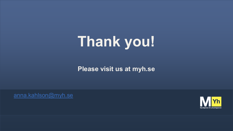# **Thank you!**

#### **Please visit us at myh.se**

[anna.kahlson@myh.se](mailto:anna.kahlson@myh.se)

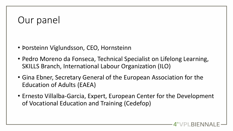## Our panel

- Þorsteinn Víglundsson, CEO, Hornsteinn
- Pedro Moreno da Fonseca, Technical Specialist on Lifelong Learning, SKILLS Branch, International Labour Organization (ILO)
- Gina Ebner, Secretary General of the European Association for the Education of Adults (EAEA)
- Ernesto Villalba-Garcia, Expert, European Center for the Development of Vocational Education and Training (Cedefop)